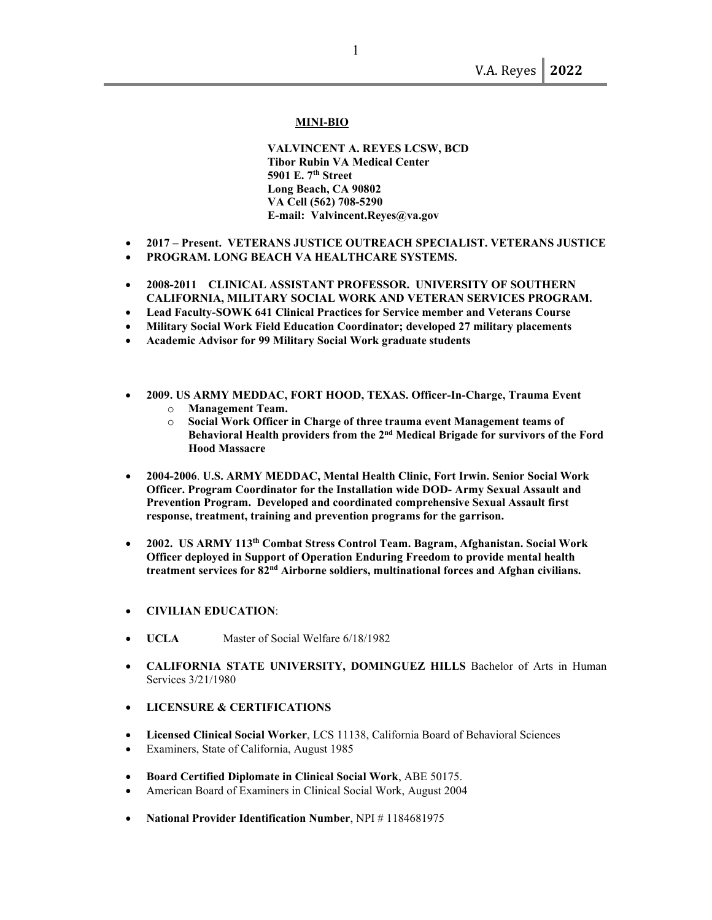#### **MINI-BIO**

 **VALVINCENT A. REYES LCSW, BCD Tibor Rubin VA Medical Center 5901 E. 7th Street Long Beach, CA 90802 VA Cell (562) 708-5290 E-mail: Valvincent.Reyes@va.gov**

- **2017 Present. VETERANS JUSTICE OUTREACH SPECIALIST. VETERANS JUSTICE**
- **PROGRAM. LONG BEACH VA HEALTHCARE SYSTEMS.**
- **2008-2011 CLINICAL ASSISTANT PROFESSOR. UNIVERSITY OF SOUTHERN CALIFORNIA, MILITARY SOCIAL WORK AND VETERAN SERVICES PROGRAM.**
- **Lead Faculty-SOWK 641 Clinical Practices for Service member and Veterans Course**
- **Military Social Work Field Education Coordinator; developed 27 military placements**
- **Academic Advisor for 99 Military Social Work graduate students**
- **2009. US ARMY MEDDAC, FORT HOOD, TEXAS. Officer-In-Charge, Trauma Event**  o **Management Team.**
	- o **Social Work Officer in Charge of three trauma event Management teams of Behavioral Health providers from the 2nd Medical Brigade for survivors of the Ford Hood Massacre**
- **2004-2006**. **U.S. ARMY MEDDAC, Mental Health Clinic, Fort Irwin. Senior Social Work Officer. Program Coordinator for the Installation wide DOD- Army Sexual Assault and Prevention Program. Developed and coordinated comprehensive Sexual Assault first response, treatment, training and prevention programs for the garrison.**
- **2002. US ARMY 113th Combat Stress Control Team. Bagram, Afghanistan. Social Work Officer deployed in Support of Operation Enduring Freedom to provide mental health treatment services for 82nd Airborne soldiers, multinational forces and Afghan civilians.**
- **CIVILIAN EDUCATION**:
- **UCLA** Master of Social Welfare 6/18/1982
- **CALIFORNIA STATE UNIVERSITY, DOMINGUEZ HILLS** Bachelor of Arts in Human Services 3/21/1980
- **LICENSURE & CERTIFICATIONS**
- **Licensed Clinical Social Worker**, LCS 11138, California Board of Behavioral Sciences
- Examiners, State of California, August 1985
- **Board Certified Diplomate in Clinical Social Work**, ABE 50175.
- American Board of Examiners in Clinical Social Work, August 2004
- **National Provider Identification Number**, NPI # 1184681975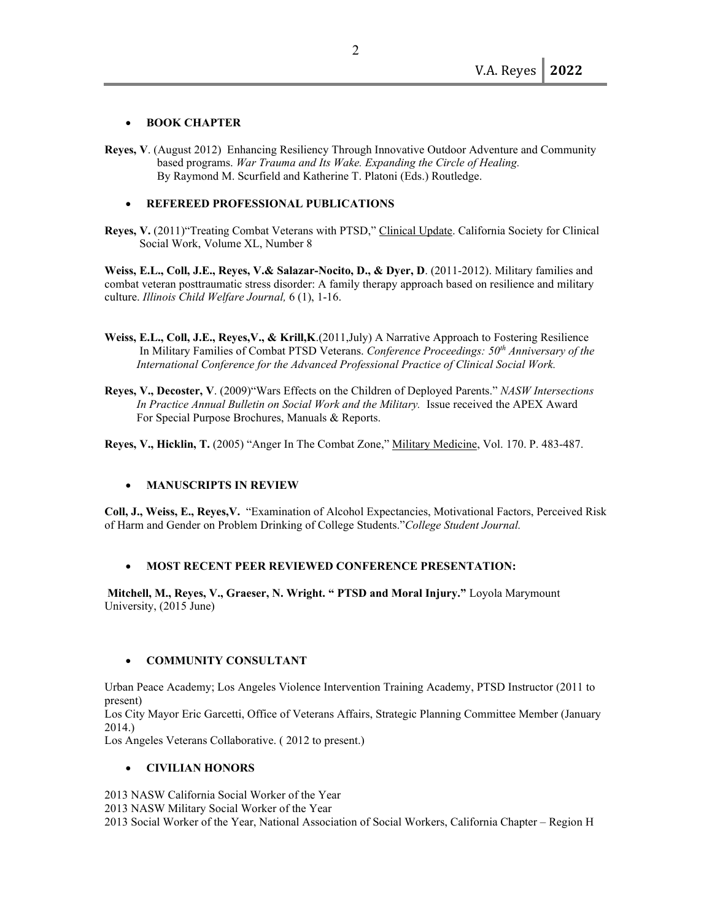### • **BOOK CHAPTER**

- **Reyes, V**. (August 2012) Enhancing Resiliency Through Innovative Outdoor Adventure and Community based programs. *War Trauma and Its Wake. Expanding the Circle of Healing.*  By Raymond M. Scurfield and Katherine T. Platoni (Eds.) Routledge.
	- **REFEREED PROFESSIONAL PUBLICATIONS**
- **Reyes, V.** (2011)"Treating Combat Veterans with PTSD," Clinical Update. California Society for Clinical Social Work, Volume XL, Number 8

**Weiss, E.L., Coll, J.E., Reyes, V.& Salazar-Nocito, D., & Dyer, D**. (2011-2012). Military families and combat veteran posttraumatic stress disorder: A family therapy approach based on resilience and military culture. *Illinois Child Welfare Journal,* 6 (1), 1-16.

- **Weiss, E.L., Coll, J.E., Reyes,V., & Krill,K**.(2011,July) A Narrative Approach to Fostering Resilience In Military Families of Combat PTSD Veterans. *Conference Proceedings: 50th Anniversary of the International Conference for the Advanced Professional Practice of Clinical Social Work.*
- **Reyes, V., Decoster, V**. (2009)"Wars Effects on the Children of Deployed Parents." *NASW Intersections* In Practice Annual Bulletin on Social Work and the Military. Issue received the APEX Award For Special Purpose Brochures, Manuals & Reports.

**Reyes, V., Hicklin, T.** (2005) "Anger In The Combat Zone," Military Medicine, Vol. 170. P. 483-487.

#### • **MANUSCRIPTS IN REVIEW**

**Coll, J., Weiss, E., Reyes,V.** "Examination of Alcohol Expectancies, Motivational Factors, Perceived Risk of Harm and Gender on Problem Drinking of College Students."*College Student Journal.*

# • **MOST RECENT PEER REVIEWED CONFERENCE PRESENTATION:**

**Mitchell, M., Reyes, V., Graeser, N. Wright. " PTSD and Moral Injury."** Loyola Marymount University, (2015 June)

# • **COMMUNITY CONSULTANT**

Urban Peace Academy; Los Angeles Violence Intervention Training Academy, PTSD Instructor (2011 to present)

Los City Mayor Eric Garcetti, Office of Veterans Affairs, Strategic Planning Committee Member (January 2014.)

Los Angeles Veterans Collaborative. ( 2012 to present.)

# • **CIVILIAN HONORS**

2013 NASW California Social Worker of the Year

2013 NASW Military Social Worker of the Year

2013 Social Worker of the Year, National Association of Social Workers, California Chapter – Region H